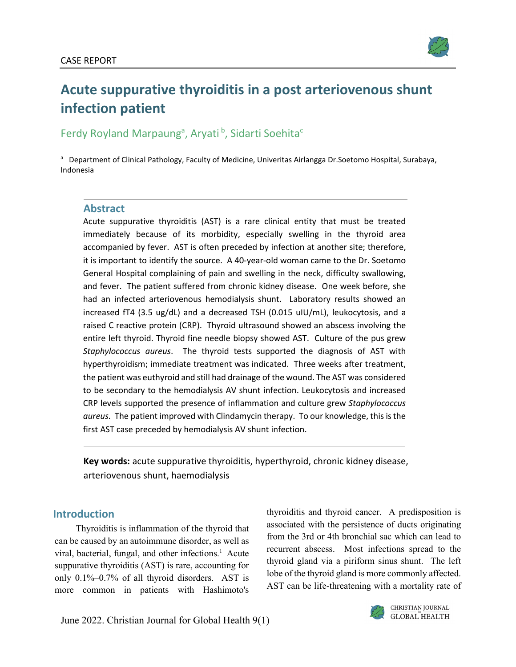

# **Acute suppurative thyroiditis in a post arteriovenous shunt infection patient**

## Ferdy Royland Marpaung<sup>a</sup>, Aryati<sup>b</sup>, Sidarti Soehita<sup>c</sup>

<sup>a</sup> Department of Clinical Pathology, Faculty of Medicine, Univeritas Airlangga Dr. Soetomo Hospital, Surabaya, Indonesia

## **Abstract**

Acute suppurative thyroiditis (AST) is a rare clinical entity that must be treated immediately because of its morbidity, especially swelling in the thyroid area accompanied by fever. AST is often preceded by infection at another site; therefore, it is important to identify the source. A 40-year-old woman came to the Dr. Soetomo General Hospital complaining of pain and swelling in the neck, difficulty swallowing, and fever. The patient suffered from chronic kidney disease. One week before, she had an infected arteriovenous hemodialysis shunt. Laboratory results showed an increased fT4 (3.5 ug/dL) and a decreased TSH (0.015 uIU/mL), leukocytosis, and a raised C reactive protein (CRP). Thyroid ultrasound showed an abscess involving the entire left thyroid. Thyroid fine needle biopsy showed AST. Culture of the pus grew *Staphylococcus aureus*. The thyroid tests supported the diagnosis of AST with hyperthyroidism; immediate treatment was indicated. Three weeks after treatment, the patient was euthyroid and still had drainage of the wound. The AST was considered to be secondary to the hemodialysis AV shunt infection. Leukocytosis and increased CRP levels supported the presence of inflammation and culture grew *Staphylococcus aureus.* The patient improved with Clindamycin therapy. To our knowledge, this is the first AST case preceded by hemodialysis AV shunt infection.

**Key words:** acute suppurative thyroiditis, hyperthyroid, chronic kidney disease, arteriovenous shunt, haemodialysis

## **Introduction**

Thyroiditis is inflammation of the thyroid that can be caused by an autoimmune disorder, as well as viral, bacterial, fungal, and other infections. <sup>1</sup> Acute suppurative thyroiditis (AST) is rare, accounting for only 0.1%–0.7% of all thyroid disorders. AST is more common in patients with Hashimoto's

thyroiditis and thyroid cancer. A predisposition is associated with the persistence of ducts originating from the 3rd or 4th bronchial sac which can lead to recurrent abscess. Most infections spread to the thyroid gland via a piriform sinus shunt. The left lobe of the thyroid gland is more commonly affected. AST can be life-threatening with a mortality rate of

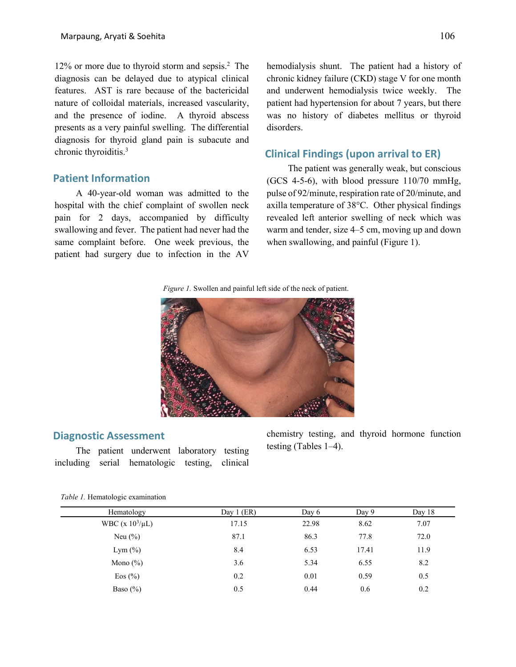12% or more due to thyroid storm and sepsis. <sup>2</sup> The diagnosis can be delayed due to atypical clinical features. AST is rare because of the bactericidal nature of colloidal materials, increased vascularity, and the presence of iodine. A thyroid abscess presents as a very painful swelling. The differential diagnosis for thyroid gland pain is subacute and chronic thyroiditis. 3

## **Patient Information**

A 40-year-old woman was admitted to the hospital with the chief complaint of swollen neck pain for 2 days, accompanied by difficulty swallowing and fever. The patient had never had the same complaint before. One week previous, the patient had surgery due to infection in the AV

hemodialysis shunt. The patient had a history of chronic kidney failure (CKD) stage V for one month and underwent hemodialysis twice weekly. The patient had hypertension for about 7 years, but there was no history of diabetes mellitus or thyroid disorders.

## **Clinical Findings (upon arrival to ER)**

The patient was generally weak, but conscious (GCS 4-5-6), with blood pressure 110/70 mmHg, pulse of 92/minute, respiration rate of 20/minute, and axilla temperature of 38°C. Other physical findings revealed left anterior swelling of neck which was warm and tender, size 4–5 cm, moving up and down when swallowing, and painful (Figure 1).

*Figure 1.* Swollen and painful left side of the neck of patient.



#### **Diagnostic Assessment**

The patient underwent laboratory testing including serial hematologic testing, clinical

chemistry testing, and thyroid hormone function testing (Tables 1–4).

|  | Table 1. Hematologic examination |
|--|----------------------------------|
|  |                                  |
|  |                                  |

| Hematology            | Day $1$ (ER) | Day 6 | Day 9 | Day 18 |
|-----------------------|--------------|-------|-------|--------|
| WBC (x $10^3/\mu L$ ) | 17.15        | 22.98 | 8.62  | 7.07   |
| Neu $(\% )$           | 87.1         | 86.3  | 77.8  | 72.0   |
| Lym $(\%)$            | 8.4          | 6.53  | 17.41 | 11.9   |
| Mono $(\%)$           | 3.6          | 5.34  | 6.55  | 8.2    |
| Eos $(\% )$           | 0.2          | 0.01  | 0.59  | 0.5    |
| Baso $(\% )$          | 0.5          | 0.44  | 0.6   | 0.2    |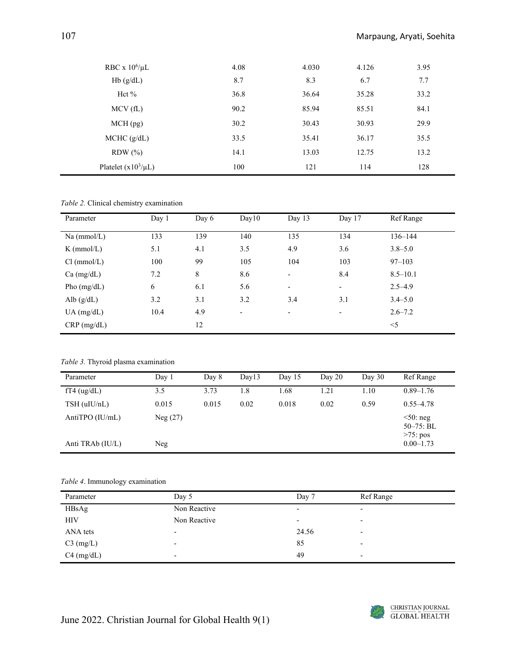| RBC x $10^6/\mu L$       | 4.08 | 4.030 | 4.126 | 3.95 |
|--------------------------|------|-------|-------|------|
| Hb(g/dL)                 | 8.7  | 8.3   | 6.7   | 7.7  |
| Hct $%$                  | 36.8 | 36.64 | 35.28 | 33.2 |
| MCV(fL)                  | 90.2 | 85.94 | 85.51 | 84.1 |
| $MCH$ (pg)               | 30.2 | 30.43 | 30.93 | 29.9 |
| MCHC (g/dL)              | 33.5 | 35.41 | 36.17 | 35.5 |
| $RDW$ $%$                | 14.1 | 13.03 | 12.75 | 13.2 |
| Platelet $(x10^3/\mu L)$ | 100  | 121   | 114   | 128  |

*Table 2.* Clinical chemistry examination

| Parameter     | Day 1 | Day 6 | Day10                    | Day 13                   | Day 17                   | Ref Range    |
|---------------|-------|-------|--------------------------|--------------------------|--------------------------|--------------|
| Na (mmol/L)   | 133   | 139   | 140                      | 135                      | 134                      | $136 - 144$  |
| $K$ (mmol/L)  | 5.1   | 4.1   | 3.5                      | 4.9                      | 3.6                      | $3.8 - 5.0$  |
| Cl (mmol/L)   | 100   | 99    | 105                      | 104                      | 103                      | $97 - 103$   |
| Ca (mg/dL)    | 7.2   | 8     | 8.6                      | $\overline{\phantom{a}}$ | 8.4                      | $8.5 - 10.1$ |
| Pho $(mg/dL)$ | 6     | 6.1   | 5.6                      | $\overline{\phantom{a}}$ | $\overline{\phantom{a}}$ | $2.5 - 4.9$  |
| Alb $(g/dL)$  | 3.2   | 3.1   | 3.2                      | 3.4                      | 3.1                      | $3.4 - 5.0$  |
| $UA$ (mg/dL)  | 10.4  | 4.9   | $\overline{\phantom{a}}$ | $\overline{\phantom{a}}$ | $\overline{\phantom{a}}$ | $2.6 - 7.2$  |
| $CRP$ (mg/dL) |       | 12    |                          |                          |                          | $<$ 5        |

*Table 3.* Thyroid plasma examination

| Parameter         | Day 1   | Day 8 | Day13 | Day $15$ | Day $20$ | Day $30$ | Ref Range                                  |
|-------------------|---------|-------|-------|----------|----------|----------|--------------------------------------------|
| $fT4$ (ug/dL)     | 3.5     | 3.73  | 1.8   | 1.68     | 1.21     | 1.10     | $0.89 - 1.76$                              |
| $TSH$ (uIU/nL)    | 0.015   | 0.015 | 0.02  | 0.018    | 0.02     | 0.59     | $0.55 - 4.78$                              |
| AntiTPO $(IU/mL)$ | Neg(27) |       |       |          |          |          | $50:$ neg<br>$50 - 75$ : BL<br>$>75$ : pos |
| Anti TRAb (IU/L)  | Neg     |       |       |          |          |          | $0.00 - 1.73$                              |

#### *Table 4*. Immunology examination

| Parameter    | Day 5                    | Day 7                    | Ref Range                |
|--------------|--------------------------|--------------------------|--------------------------|
| HBsAg        | Non Reactive             | $\overline{\phantom{a}}$ | ٠                        |
| <b>HIV</b>   | Non Reactive             | $\overline{\phantom{0}}$ | $\overline{\phantom{0}}$ |
| ANA tets     | -                        | 24.56                    | $\overline{\phantom{0}}$ |
| $C3$ (mg/L)  | $\overline{\phantom{0}}$ | 85                       | $\overline{\phantom{0}}$ |
| $C4$ (mg/dL) | $\overline{\phantom{0}}$ | 49                       | $\overline{\phantom{0}}$ |

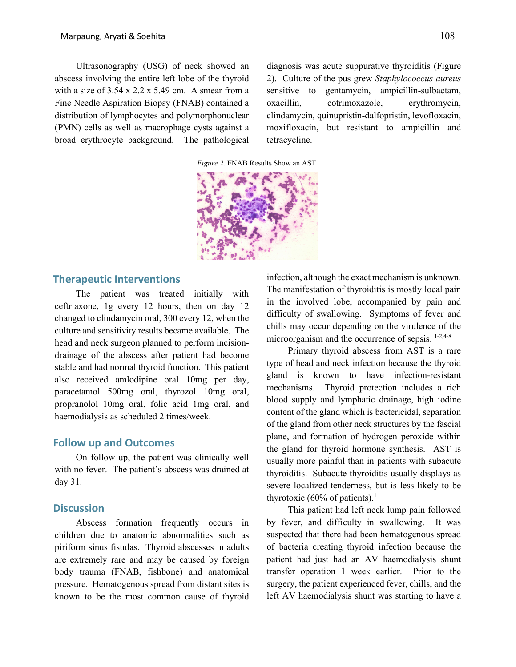Ultrasonography (USG) of neck showed an abscess involving the entire left lobe of the thyroid with a size of  $3.54 \times 2.2 \times 5.49$  cm. A smear from a Fine Needle Aspiration Biopsy (FNAB) contained a distribution of lymphocytes and polymorphonuclear (PMN) cells as well as macrophage cysts against a broad erythrocyte background. The pathological

diagnosis was acute suppurative thyroiditis (Figure 2). Culture of the pus grew *Staphylococcus aureus* sensitive to gentamycin, ampicillin-sulbactam, oxacillin, cotrimoxazole, erythromycin, clindamycin, quinupristin-dalfopristin, levofloxacin, moxifloxacin, but resistant to ampicillin and tetracycline.

*Figure 2.* FNAB Results Show an AST



## **Therapeutic Interventions**

The patient was treated initially with ceftriaxone, 1g every 12 hours, then on day 12 changed to clindamycin oral, 300 every 12, when the culture and sensitivity results became available. The head and neck surgeon planned to perform incisiondrainage of the abscess after patient had become stable and had normal thyroid function. This patient also received amlodipine oral 10mg per day, paracetamol 500mg oral, thyrozol 10mg oral, propranolol 10mg oral, folic acid 1mg oral, and haemodialysis as scheduled 2 times/week.

#### **Follow up and Outcomes**

On follow up, the patient was clinically well with no fever. The patient's abscess was drained at day 31.

#### **Discussion**

Abscess formation frequently occurs in children due to anatomic abnormalities such as piriform sinus fistulas. Thyroid abscesses in adults are extremely rare and may be caused by foreign body trauma (FNAB, fishbone) and anatomical pressure. Hematogenous spread from distant sites is known to be the most common cause of thyroid infection, although the exact mechanism is unknown. The manifestation of thyroiditis is mostly local pain in the involved lobe, accompanied by pain and difficulty of swallowing. Symptoms of fever and chills may occur depending on the virulence of the microorganism and the occurrence of sepsis. 1-2,4-8

Primary thyroid abscess from AST is a rare type of head and neck infection because the thyroid gland is known to have infection-resistant mechanisms. Thyroid protection includes a rich blood supply and lymphatic drainage, high iodine content of the gland which is bactericidal, separation of the gland from other neck structures by the fascial plane, and formation of hydrogen peroxide within the gland for thyroid hormone synthesis. AST is usually more painful than in patients with subacute thyroiditis. Subacute thyroiditis usually displays as severe localized tenderness, but is less likely to be thyrotoxic (60% of patients). 1

This patient had left neck lump pain followed by fever, and difficulty in swallowing. It was suspected that there had been hematogenous spread of bacteria creating thyroid infection because the patient had just had an AV haemodialysis shunt transfer operation 1 week earlier. Prior to the surgery, the patient experienced fever, chills, and the left AV haemodialysis shunt was starting to have a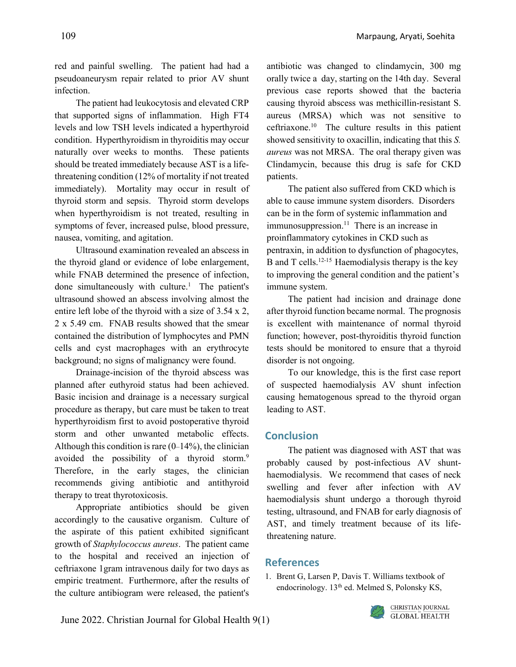red and painful swelling. The patient had had a pseudoaneurysm repair related to prior AV shunt infection.

The patient had leukocytosis and elevated CRP that supported signs of inflammation. High FT4 levels and low TSH levels indicated a hyperthyroid condition. Hyperthyroidism in thyroiditis may occur naturally over weeks to months. These patients should be treated immediately because AST is a lifethreatening condition (12% of mortality if not treated immediately). Mortality may occur in result of thyroid storm and sepsis. Thyroid storm develops when hyperthyroidism is not treated, resulting in symptoms of fever, increased pulse, blood pressure, nausea, vomiting, and agitation.

Ultrasound examination revealed an abscess in the thyroid gland or evidence of lobe enlargement, while FNAB determined the presence of infection, done simultaneously with culture.<sup>1</sup> The patient's ultrasound showed an abscess involving almost the entire left lobe of the thyroid with a size of 3.54 x 2, 2 x 5.49 cm. FNAB results showed that the smear contained the distribution of lymphocytes and PMN cells and cyst macrophages with an erythrocyte background; no signs of malignancy were found.

Drainage-incision of the thyroid abscess was planned after euthyroid status had been achieved. Basic incision and drainage is a necessary surgical procedure as therapy, but care must be taken to treat hyperthyroidism first to avoid postoperative thyroid storm and other unwanted metabolic effects. Although this condition is rare  $(0-14\%)$ , the clinician avoided the possibility of a thyroid storm.<sup>9</sup> Therefore, in the early stages, the clinician recommends giving antibiotic and antithyroid therapy to treat thyrotoxicosis.

Appropriate antibiotics should be given accordingly to the causative organism. Culture of the aspirate of this patient exhibited significant growth of *Staphylococcus aureus*. The patient came to the hospital and received an injection of ceftriaxone 1gram intravenous daily for two days as empiric treatment. Furthermore, after the results of the culture antibiogram were released, the patient's antibiotic was changed to clindamycin, 300 mg orally twice a day, starting on the 14th day. Several previous case reports showed that the bacteria causing thyroid abscess was methicillin-resistant S. aureus (MRSA) which was not sensitive to ceftriaxone.10 The culture results in this patient showed sensitivity to oxacillin, indicating that this *S. aureus* was not MRSA. The oral therapy given was Clindamycin, because this drug is safe for CKD patients.

The patient also suffered from CKD which is able to cause immune system disorders. Disorders can be in the form of systemic inflammation and immunosuppression.<sup>11</sup> There is an increase in proinflammatory cytokines in CKD such as pentraxin, in addition to dysfunction of phagocytes, B and T cells.<sup>12-15</sup> Haemodialysis therapy is the key to improving the general condition and the patient's immune system.

The patient had incision and drainage done after thyroid function became normal. The prognosis is excellent with maintenance of normal thyroid function; however, post-thyroiditis thyroid function tests should be monitored to ensure that a thyroid disorder is not ongoing.

To our knowledge, this is the first case report of suspected haemodialysis AV shunt infection causing hematogenous spread to the thyroid organ leading to AST.

## **Conclusion**

The patient was diagnosed with AST that was probably caused by post-infectious AV shunthaemodialysis. We recommend that cases of neck swelling and fever after infection with AV haemodialysis shunt undergo a thorough thyroid testing, ultrasound, and FNAB for early diagnosis of AST, and timely treatment because of its lifethreatening nature.

## **References**

1. Brent G, Larsen P, Davis T. Williams textbook of endocrinology. 13<sup>th</sup> ed. Melmed S, Polonsky KS,